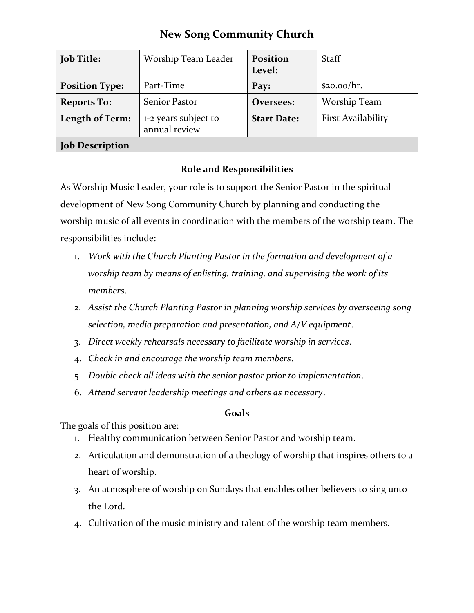# **New Song Community Church**

| <b>Job Title:</b>      | Worship Team Leader                   | <b>Position</b><br>Level: | <b>Staff</b>              |
|------------------------|---------------------------------------|---------------------------|---------------------------|
| <b>Position Type:</b>  | Part-Time                             | Pay:                      | \$20.00/hr.               |
| <b>Reports To:</b>     | Senior Pastor                         | Oversees:                 | Worship Team              |
| Length of Term:        | 1-2 years subject to<br>annual review | <b>Start Date:</b>        | <b>First Availability</b> |
| <b>Job Description</b> |                                       |                           |                           |

### **Role and Responsibilities**

As Worship Music Leader, your role is to support the Senior Pastor in the spiritual development of New Song Community Church by planning and conducting the worship music of all events in coordination with the members of the worship team. The responsibilities include:

- 1. *Work with the Church Planting Pastor in the formation and development of a worship team by means of enlisting, training, and supervising the work of its members*.
- 2. *Assist the Church Planting Pastor in planning worship services by overseeing song selection, media preparation and presentation, and A/V equipment*.
- 3. *Direct weekly rehearsals necessary to facilitate worship in services*.
- 4. *Check in and encourage the worship team members*.
- 5. *Double check all ideas with the senior pastor prior to implementation*.
- 6. *Attend servant leadership meetings and others as necessary*.

## **Goals**

The goals of this position are:

- 1. Healthy communication between Senior Pastor and worship team.
- 2. Articulation and demonstration of a theology of worship that inspires others to a heart of worship.
- 3. An atmosphere of worship on Sundays that enables other believers to sing unto the Lord.
- 4. Cultivation of the music ministry and talent of the worship team members.